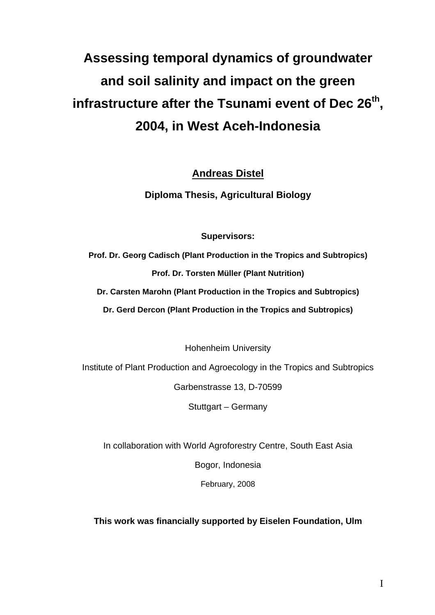## **Assessing temporal dynamics of groundwater and soil salinity and impact on the green**  infrastructure after the Tsunami event of Dec 26<sup>th</sup>, **2004, in West Aceh-Indonesia**

**Andreas Distel**

**Diploma Thesis, Agricultural Biology** 

**Supervisors:** 

**Prof. Dr. Georg Cadisch (Plant Production in the Tropics and Subtropics) Prof. Dr. Torsten Müller (Plant Nutrition)** 

**Dr. Carsten Marohn (Plant Production in the Tropics and Subtropics)** 

**Dr. Gerd Dercon (Plant Production in the Tropics and Subtropics)** 

Hohenheim University

Institute of Plant Production and Agroecology in the Tropics and Subtropics

Garbenstrasse 13, D-70599

Stuttgart – Germany

In collaboration with World Agroforestry Centre, South East Asia

Bogor, Indonesia

February, 2008

**This work was financially supported by Eiselen Foundation, Ulm**